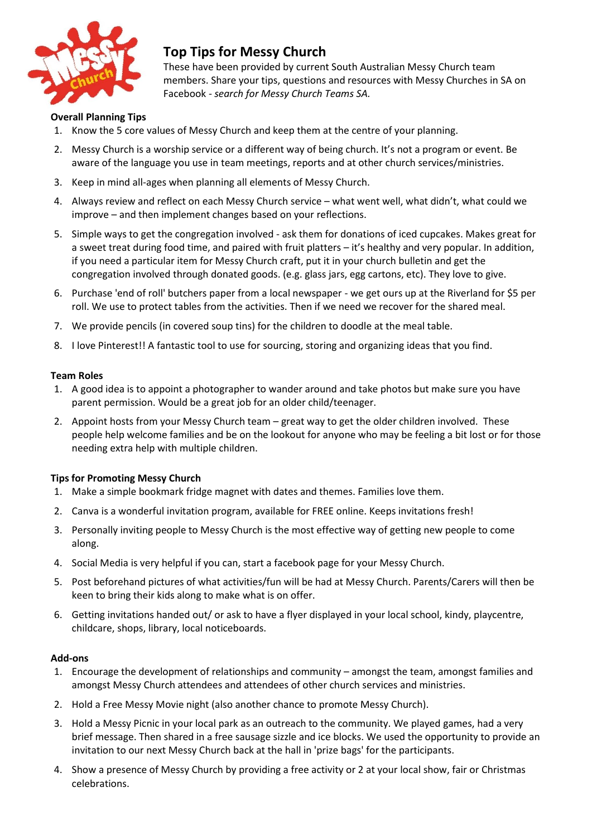

# **Top Tips for Messy Church**

These have been provided by current South Australian Messy Church team members. Share your tips, questions and resources with Messy Churches in SA on Facebook - *search for Messy Church Teams SA.*

## **Overall Planning Tips**

- 1. Know the 5 core values of Messy Church and keep them at the centre of your planning.
- 2. Messy Church is a worship service or a different way of being church. It's not a program or event. Be aware of the language you use in team meetings, reports and at other church services/ministries.
- 3. Keep in mind all-ages when planning all elements of Messy Church.
- 4. Always review and reflect on each Messy Church service what went well, what didn't, what could we improve – and then implement changes based on your reflections.
- 5. Simple ways to get the congregation involved ask them for donations of iced cupcakes. Makes great for a sweet treat during food time, and paired with fruit platters – it's healthy and very popular. In addition, if you need a particular item for Messy Church craft, put it in your church bulletin and get the congregation involved through donated goods. (e.g. glass jars, egg cartons, etc). They love to give.
- 6. Purchase 'end of roll' butchers paper from a local newspaper we get ours up at the Riverland for \$5 per roll. We use to protect tables from the activities. Then if we need we recover for the shared meal.
- 7. We provide pencils (in covered soup tins) for the children to doodle at the meal table.
- 8. I love Pinterest!! A fantastic tool to use for sourcing, storing and organizing ideas that you find.

#### **Team Roles**

- 1. A good idea is to appoint a photographer to wander around and take photos but make sure you have parent permission. Would be a great job for an older child/teenager.
- 2. Appoint hosts from your Messy Church team great way to get the older children involved. These people help welcome families and be on the lookout for anyone who may be feeling a bit lost or for those needing extra help with multiple children.

#### **Tips for Promoting Messy Church**

- 1. Make a simple bookmark fridge magnet with dates and themes. Families love them.
- 2. Canva is a wonderful invitation program, available for FREE online. Keeps invitations fresh!
- 3. Personally inviting people to Messy Church is the most effective way of getting new people to come along.
- 4. Social Media is very helpful if you can, start a facebook page for your Messy Church.
- 5. Post beforehand pictures of what activities/fun will be had at Messy Church. Parents/Carers will then be keen to bring their kids along to make what is on offer.
- 6. Getting invitations handed out/ or ask to have a flyer displayed in your local school, kindy, playcentre, childcare, shops, library, local noticeboards.

#### **Add-ons**

- 1. Encourage the development of relationships and community amongst the team, amongst families and amongst Messy Church attendees and attendees of other church services and ministries.
- 2. Hold a Free Messy Movie night (also another chance to promote Messy Church).
- 3. Hold a Messy Picnic in your local park as an outreach to the community. We played games, had a very brief message. Then shared in a free sausage sizzle and ice blocks. We used the opportunity to provide an invitation to our next Messy Church back at the hall in 'prize bags' for the participants.
- 4. Show a presence of Messy Church by providing a free activity or 2 at your local show, fair or Christmas celebrations.